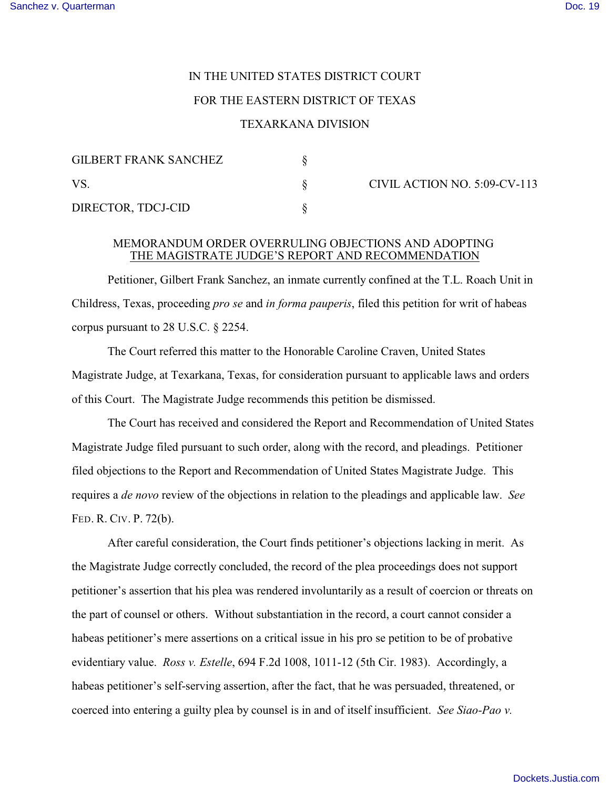# IN THE UNITED STATES DISTRICT COURT

# FOR THE EASTERN DISTRICT OF TEXAS

#### TEXARKANA DIVISION

| <b>GILBERT FRANK SANCHEZ</b> |  |
|------------------------------|--|
| VS.                          |  |
| DIRECTOR, TDCJ-CID           |  |

CIVIL ACTION NO.  $5:09$ -CV-113

### MEMORANDUM ORDER OVERRULING OBJECTIONS AND ADOPTING THE MAGISTRATE JUDGE'S REPORT AND RECOMMENDATION

Petitioner, Gilbert Frank Sanchez, an inmate currently confined at the T.L. Roach Unit in Childress, Texas, proceeding *pro se* and *in forma pauperis*, filed this petition for writ of habeas corpus pursuant to 28 U.S.C. § 2254.

The Court referred this matter to the Honorable Caroline Craven, United States Magistrate Judge, at Texarkana, Texas, for consideration pursuant to applicable laws and orders of this Court. The Magistrate Judge recommends this petition be dismissed.

The Court has received and considered the Report and Recommendation of United States Magistrate Judge filed pursuant to such order, along with the record, and pleadings. Petitioner filed objections to the Report and Recommendation of United States Magistrate Judge. This requires a *de novo* review of the objections in relation to the pleadings and applicable law. *See* FED. R. CIV. P. 72(b).

After careful consideration, the Court finds petitioner's objections lacking in merit. As the Magistrate Judge correctly concluded, the record of the plea proceedings does not support petitioner's assertion that his plea was rendered involuntarily as a result of coercion or threats on the part of counsel or others. Without substantiation in the record, a court cannot consider a habeas petitioner's mere assertions on a critical issue in his pro se petition to be of probative evidentiary value. *Ross v. Estelle*, 694 F.2d 1008, 1011-12 (5th Cir. 1983). Accordingly, a habeas petitioner's self-serving assertion, after the fact, that he was persuaded, threatened, or coerced into entering a guilty plea by counsel is in and of itself insufficient. *See Siao-Pao v.*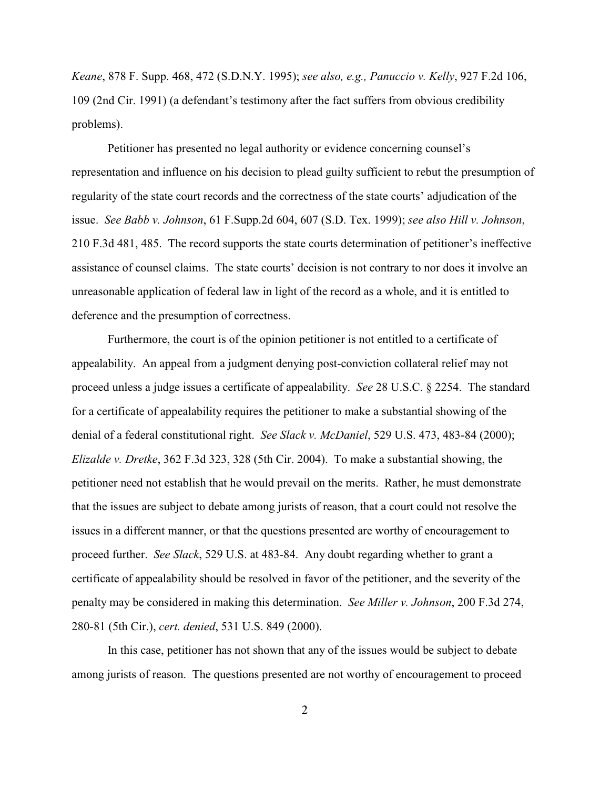*Keane*, 878 F. Supp. 468, 472 (S.D.N.Y. 1995); *see also, e.g., Panuccio v. Kelly*, 927 F.2d 106, 109 (2nd Cir. 1991) (a defendant's testimony after the fact suffers from obvious credibility problems).

Petitioner has presented no legal authority or evidence concerning counsel's representation and influence on his decision to plead guilty sufficient to rebut the presumption of regularity of the state court records and the correctness of the state courts' adjudication of the issue. *See Babb v. Johnson*, 61 F.Supp.2d 604, 607 (S.D. Tex. 1999); *see also Hill v. Johnson*, 210 F.3d 481, 485. The record supports the state courts determination of petitioner's ineffective assistance of counsel claims. The state courts' decision is not contrary to nor does it involve an unreasonable application of federal law in light of the record as a whole, and it is entitled to deference and the presumption of correctness.

Furthermore, the court is of the opinion petitioner is not entitled to a certificate of appealability. An appeal from a judgment denying post-conviction collateral relief may not proceed unless a judge issues a certificate of appealability. *See* 28 U.S.C. § 2254. The standard for a certificate of appealability requires the petitioner to make a substantial showing of the denial of a federal constitutional right. *See Slack v. McDaniel*, 529 U.S. 473, 483-84 (2000); *Elizalde v. Dretke*, 362 F.3d 323, 328 (5th Cir. 2004). To make a substantial showing, the petitioner need not establish that he would prevail on the merits. Rather, he must demonstrate that the issues are subject to debate among jurists of reason, that a court could not resolve the issues in a different manner, or that the questions presented are worthy of encouragement to proceed further. *See Slack*, 529 U.S. at 483-84. Any doubt regarding whether to grant a certificate of appealability should be resolved in favor of the petitioner, and the severity of the penalty may be considered in making this determination. *See Miller v. Johnson*, 200 F.3d 274, 280-81 (5th Cir.), *cert. denied*, 531 U.S. 849 (2000).

In this case, petitioner has not shown that any of the issues would be subject to debate among jurists of reason. The questions presented are not worthy of encouragement to proceed

2